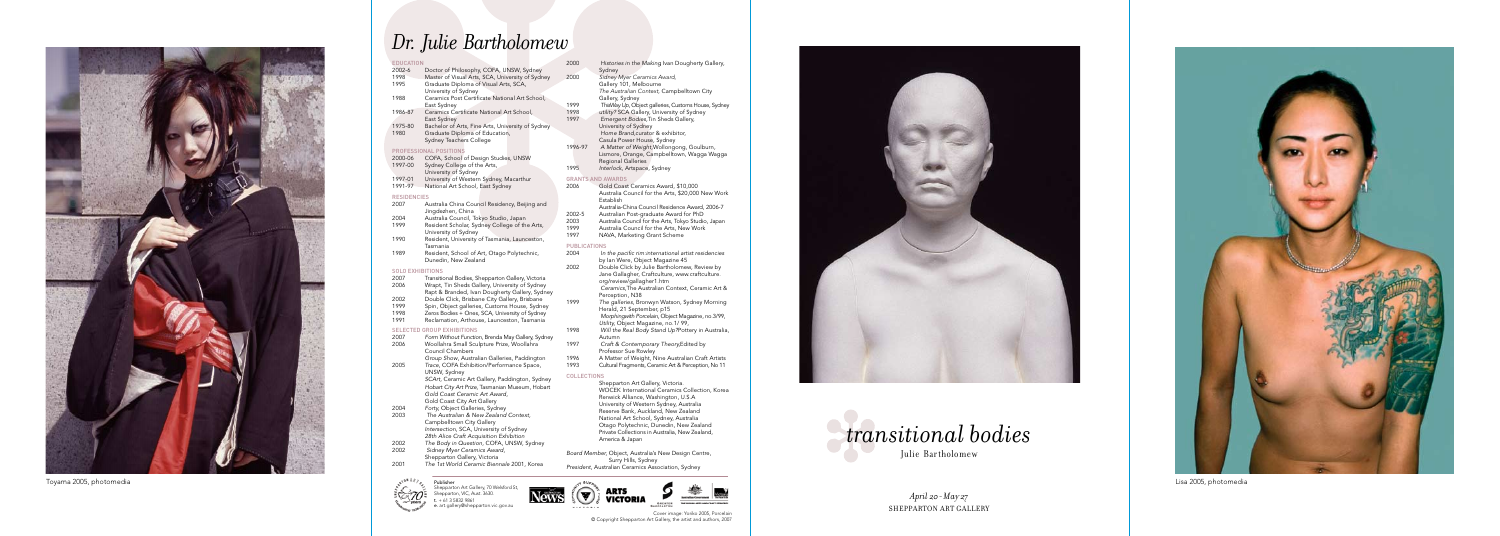# *Dr. Julie Bartholomew*



Toyama 2005, photomedia

Cover image: Yoriko 2005, Porcelain © Copyright Shepparton Art Gallery, the artist and authors, 2007

Publisher Shepparton Art Gallery, 70 Welsford St, Shepparton, VIC, Aust. 3630.  $t. + 61358329861$ e. art.gallery@shepparton.vic.gov.au

- EDUCATION<br>2002-6 2002-6 Doctor of Philosophy, COFA, UNSW, Sydney<br>1998 Master of Visual Arts, SCA, University of Sydne 1998 Master of Visual Arts, SCA, University of Sydney 2000<br>1995 Graduate Diploma of Visual Arts, SCA, Graduate Diploma of Visual Arts, SCA, University of Sydney 1988 Ceramics Post Certificate National Art School, East Sydney 1986-87 Ceramics Certificate National Art School, East Sydney
- 1975-80 Bachelor of Arts, Fine Arts, University of Sydney 1980 Graduate Diploma of Education, Sydney Teachers College

- 2000-06 COFA, School of Design Studies, UNSW 1997-00 Sydney College of the Arts,
- University of Sydney 1997-01 University of Western Sydney, Macarthur
- 1991-97 National Art School, East Sydney

#### RESIDENCIES

- 2007 Australia China Council Residency, Beijing and Jingdezhen, China
- 2004 Australia Council, Tokyo Studio, Japan Resident Scholar, Sydney College of the Arts,
- University of Sydney 1990 Resident, University of Tasmania, Launceston, Tasmania
- 1989 Resident, School of Art, Otago Polytechnic, Dunedin, New Zealand

### SOLO EXHIBITIONS<br>2007 Transiti

- 2007 Transitional Bodies, Shepparton Gallery, Victoria Wrapt, Tin Sheds Gallery, University of Sydney
- Rapt & Branded, Ivan Dougherty Gallery, Sydney
- 2002 Double Click, Brisbane City Gallery, Brisbane<br>1999 Spin, Object galleries, Customs House, Sydney 1999 Spin, Object galleries, Customs House, Sydney<br>1998 Zeros Bodies + Ones, SCA, University of Sydney
- 1998 Zeros Bodies + Ones, SCA, University of Sydney
- 1991 Reclamation, Arthouse, Launceston, Tasmania

#### SELECTED GROUP EXHIBITIONS

#### Prof essional Positions

- 2007 *Form Without Function,* Brenda May Gallery, Sydney Woollahra Small Sculpture Prize, Woollahra
- Council Chambers *Group Show* , Australian Galleries, Paddington 2005 *Trace* , COFA Exhibition/Performance Space, UNSW, Sydney *SCArt,* Ceramic Art Gallery, Paddington, Sydney *Hobart City Art Prize,* Tasmanian Museum, Hobart
	- *Gold Coast Ceramic Art Award* , Gold Coast City Art Gallery
- 2003 *The Australian & New Zealand Context,* Campbelltown City Gallery *Intersection* , SCA, University of Sydney *28th Alice Craft Acquisition Exhibition*
- 2002 *The Body in Question,* COFA, UNSW, Sydney
- Shepparton Gallery, Victoria



- 2004 *Forty, Object Galleries, Sydney*<br>2003 *The Australian & New Zealand*
- 
- 2002 *Sidney Myer Ceramics Award,*
- 2001 *The 1st World Ceramic Biennale* 2001, Korea







- 2006 Gold Coast Ceramics Award, \$10,000 Australia Council for the Arts, \$20,000 New Work Establish Australia-China Council Residence Award, 2006-7
- 
- 2002-5 Australian Post-graduate Award for PhD<br>2003 Australia Council for the Arts, Tokyo Studic 2003 Australia Council for the Arts, Tokyo Studio, Japan<br>1999 Australia Council for the Arts, New Work
- 1999 Australia Council for the Arts, New Work<br>1997 NAVA, Marketing Grant Scheme
- NAVA, Marketing Grant Scheme

## PUBLICATIONS<br>2004 *In t*

#### 2000 *Histories in the Making*, Ivan Dougherty Gallery, Sydney **Sidney Myer Ceramics Award,** Gallery 101, Melbourne *The Australian Context,* Campbelltown City Gallery, Sydney 1999 *ThisWay Up,* Object galleries, Customs House, Sydney 1998 *utility?* SCA Gallery, University of Sydney<br>1997 Freedent Bodies Tin Sheds Gallery 1997 *Emergent Bodies,*Tin Sheds Gallery, University of Sydney *Home Brand,*curator & exhibitor, Casula Power House, Sydney *A Matter of Weight,*Wollongong, Goulburn, Lismore, Orange, Campbelltown, Wagga Wagga Regional Galleries 1995 *Interlock,* Artspace, Sydney Grants and Awards

1996-97 

- 2004 *In the pacific rim:international artist residencies* by Ian Were, Object Magazine 45
- 2002 Double Click by Julie Bartholomew, Review by Jane Gallagher, Craftculture, www.craftculture. org/review/gallagher1.htm *Ceramics,*The Australian Context, Ceramic Art & Perception, N38
- 1999 *The galleries,* Bronwyn Watson, Sydney Morning Herald, 21 September, p15 *Morphingwith Porcelain* , Object Magazine, no.3/99, *Utility,* Object Magazine, no.1/ 99,
- 1998 *Will the Real Body Stand Up?*Pottery in Australia, Autumn
- 1997 *Craft & Contemporary Theory,*Edited by Professor Sue Rowley
- 1996 A Matter of Weight, Nine Australian Craft Artists<br>1993 Cultural Fragments, Ceramic Art & Perception, No. 11
- 1993 Cultural Fragments, Ceramic Art & Perception, No 11

### Coll ections

Shepparton Art Gallery, Victoria. WOCEK International Ceramics Collection, Korea Renwick Alliance, Washington, U.S.A University of Western Sydney, Australia Reserve Bank, Auckland, New Zealand National Art School, Sydney, Australia Otago Polytechnic, Dunedin, New Zealand Private Collections in Australia, New Zealand, America & Japan

*Board Member,* Object, Australia's New Design Centre, Surry Hills, Sydney *President,* Australian Ceramics Association, Sydney

**VICTORIA** 



Lisa 2005, photomedia

*April 20 - May 27*  Shepparton Art Gallery